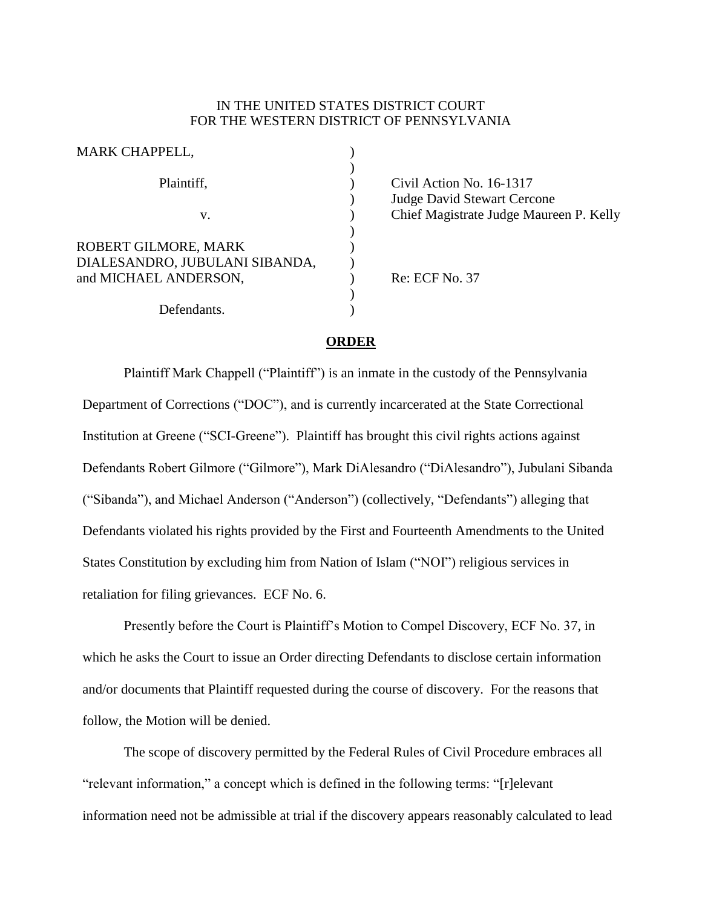## IN THE UNITED STATES DISTRICT COURT FOR THE WESTERN DISTRICT OF PENNSYLVANIA

| MARK CHAPPELL,                                                                  |  |
|---------------------------------------------------------------------------------|--|
| Plaintiff,                                                                      |  |
| V.                                                                              |  |
| ROBERT GILMORE, MARK<br>DIALESANDRO, JUBULANI SIBANDA,<br>and MICHAEL ANDERSON, |  |
| Defendants.                                                                     |  |

Civil Action No. 16-1317 Judge David Stewart Cercone Chief Magistrate Judge Maureen P. Kelly

Re: ECF No. 37

## **ORDER**

Plaintiff Mark Chappell ("Plaintiff") is an inmate in the custody of the Pennsylvania Department of Corrections ("DOC"), and is currently incarcerated at the State Correctional Institution at Greene ("SCI-Greene"). Plaintiff has brought this civil rights actions against Defendants Robert Gilmore ("Gilmore"), Mark DiAlesandro ("DiAlesandro"), Jubulani Sibanda ("Sibanda"), and Michael Anderson ("Anderson") (collectively, "Defendants") alleging that Defendants violated his rights provided by the First and Fourteenth Amendments to the United States Constitution by excluding him from Nation of Islam ("NOI") religious services in retaliation for filing grievances. ECF No. 6.

Presently before the Court is Plaintiff's Motion to Compel Discovery, ECF No. 37, in which he asks the Court to issue an Order directing Defendants to disclose certain information and/or documents that Plaintiff requested during the course of discovery. For the reasons that follow, the Motion will be denied.

The scope of discovery permitted by the Federal Rules of Civil Procedure embraces all "relevant information," a concept which is defined in the following terms: "[r]elevant information need not be admissible at trial if the discovery appears reasonably calculated to lead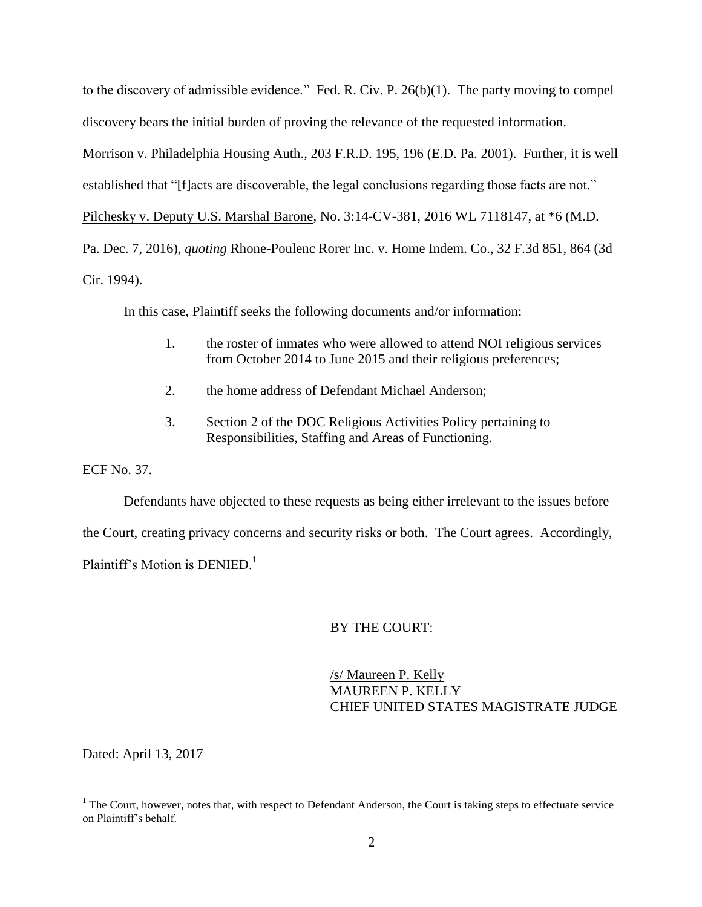to the discovery of admissible evidence." Fed. R. Civ. P. 26(b)(1). The party moving to compel discovery bears the initial burden of proving the relevance of the requested information. Morrison v. Philadelphia Housing Auth., 203 F.R.D. 195, 196 (E.D. Pa. 2001). Further, it is well established that "[f]acts are discoverable, the legal conclusions regarding those facts are not." Pilchesky v. Deputy U.S. Marshal Barone, No. 3:14-CV-381, 2016 WL 7118147, at \*6 (M.D. Pa. Dec. 7, 2016), *quoting* Rhone-Poulenc Rorer Inc. v. Home Indem. Co., 32 F.3d 851, 864 (3d Cir. 1994).

In this case, Plaintiff seeks the following documents and/or information:

- 1. the roster of inmates who were allowed to attend NOI religious services from October 2014 to June 2015 and their religious preferences;
- 2. the home address of Defendant Michael Anderson;
- 3. Section 2 of the DOC Religious Activities Policy pertaining to Responsibilities, Staffing and Areas of Functioning.

ECF No. 37.

Defendants have objected to these requests as being either irrelevant to the issues before the Court, creating privacy concerns and security risks or both. The Court agrees. Accordingly, Plaintiff's Motion is  $DENIED<sup>1</sup>$ 

## BY THE COURT:

/s/ Maureen P. Kelly MAUREEN P. KELLY CHIEF UNITED STATES MAGISTRATE JUDGE

Dated: April 13, 2017

 $\overline{a}$ 

 $<sup>1</sup>$  The Court, however, notes that, with respect to Defendant Anderson, the Court is taking steps to effectuate service</sup> on Plaintiff's behalf.